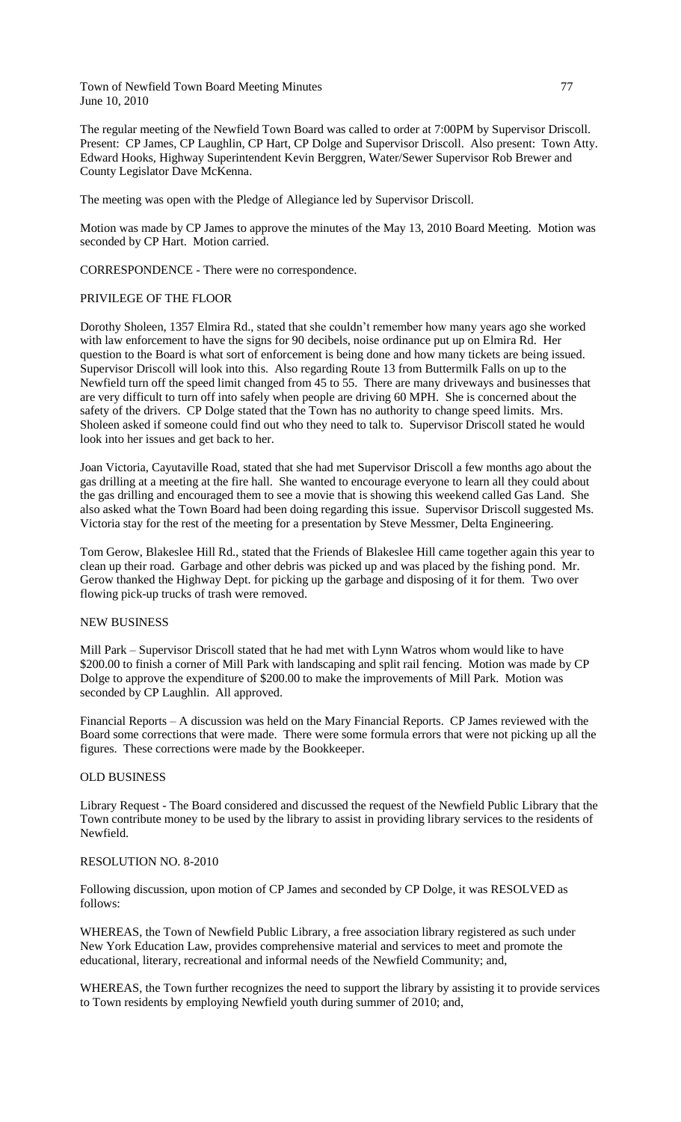Town of Newfield Town Board Meeting Minutes 77 June 10, 2010

The regular meeting of the Newfield Town Board was called to order at 7:00PM by Supervisor Driscoll. Present: CP James, CP Laughlin, CP Hart, CP Dolge and Supervisor Driscoll. Also present: Town Atty. Edward Hooks, Highway Superintendent Kevin Berggren, Water/Sewer Supervisor Rob Brewer and County Legislator Dave McKenna.

The meeting was open with the Pledge of Allegiance led by Supervisor Driscoll.

Motion was made by CP James to approve the minutes of the May 13, 2010 Board Meeting. Motion was seconded by CP Hart. Motion carried.

CORRESPONDENCE - There were no correspondence.

## PRIVILEGE OF THE FLOOR

Dorothy Sholeen, 1357 Elmira Rd., stated that she couldn't remember how many years ago she worked with law enforcement to have the signs for 90 decibels, noise ordinance put up on Elmira Rd. Her question to the Board is what sort of enforcement is being done and how many tickets are being issued. Supervisor Driscoll will look into this. Also regarding Route 13 from Buttermilk Falls on up to the Newfield turn off the speed limit changed from 45 to 55. There are many driveways and businesses that are very difficult to turn off into safely when people are driving 60 MPH. She is concerned about the safety of the drivers. CP Dolge stated that the Town has no authority to change speed limits. Mrs. Sholeen asked if someone could find out who they need to talk to. Supervisor Driscoll stated he would look into her issues and get back to her.

Joan Victoria, Cayutaville Road, stated that she had met Supervisor Driscoll a few months ago about the gas drilling at a meeting at the fire hall. She wanted to encourage everyone to learn all they could about the gas drilling and encouraged them to see a movie that is showing this weekend called Gas Land. She also asked what the Town Board had been doing regarding this issue. Supervisor Driscoll suggested Ms. Victoria stay for the rest of the meeting for a presentation by Steve Messmer, Delta Engineering.

Tom Gerow, Blakeslee Hill Rd., stated that the Friends of Blakeslee Hill came together again this year to clean up their road. Garbage and other debris was picked up and was placed by the fishing pond. Mr. Gerow thanked the Highway Dept. for picking up the garbage and disposing of it for them. Two over flowing pick-up trucks of trash were removed.

# NEW BUSINESS

Mill Park – Supervisor Driscoll stated that he had met with Lynn Watros whom would like to have \$200.00 to finish a corner of Mill Park with landscaping and split rail fencing. Motion was made by CP Dolge to approve the expenditure of \$200.00 to make the improvements of Mill Park. Motion was seconded by CP Laughlin. All approved.

Financial Reports – A discussion was held on the Mary Financial Reports. CP James reviewed with the Board some corrections that were made. There were some formula errors that were not picking up all the figures. These corrections were made by the Bookkeeper.

#### OLD BUSINESS

Library Request - The Board considered and discussed the request of the Newfield Public Library that the Town contribute money to be used by the library to assist in providing library services to the residents of Newfield.

# RESOLUTION NO. 8-2010

Following discussion, upon motion of CP James and seconded by CP Dolge, it was RESOLVED as follows:

WHEREAS, the Town of Newfield Public Library, a free association library registered as such under New York Education Law, provides comprehensive material and services to meet and promote the educational, literary, recreational and informal needs of the Newfield Community; and,

WHEREAS, the Town further recognizes the need to support the library by assisting it to provide services to Town residents by employing Newfield youth during summer of 2010; and,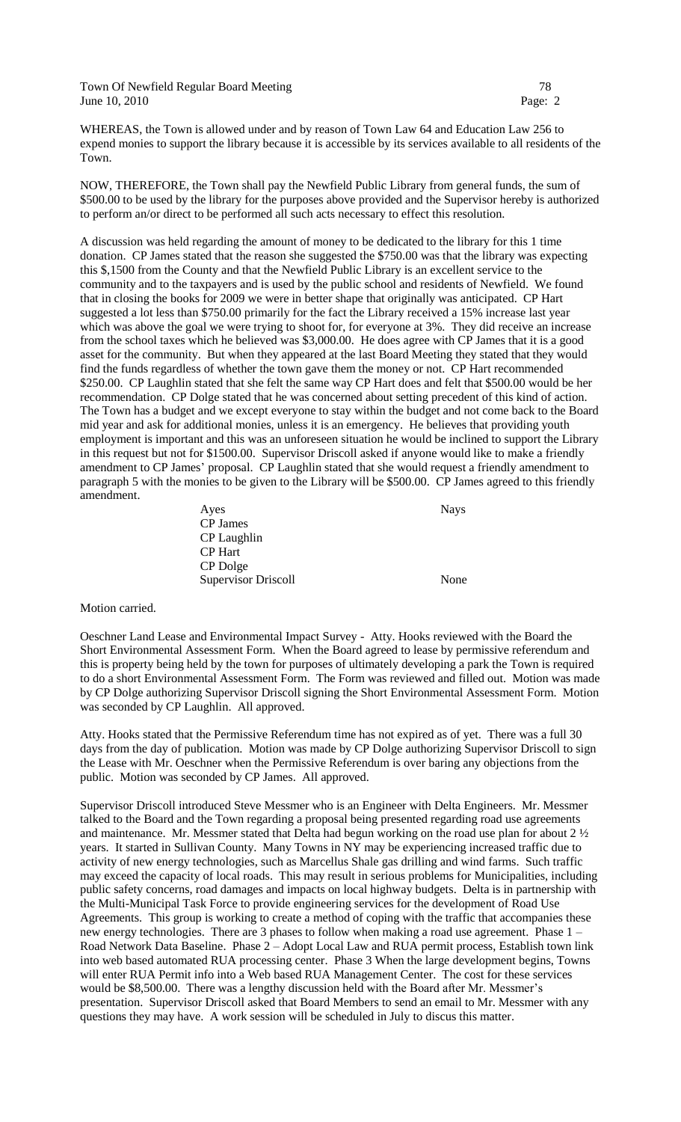Town Of Newfield Regular Board Meeting 78 **June 10, 2010** Page: 2

WHEREAS, the Town is allowed under and by reason of Town Law 64 and Education Law 256 to expend monies to support the library because it is accessible by its services available to all residents of the Town.

NOW, THEREFORE, the Town shall pay the Newfield Public Library from general funds, the sum of \$500.00 to be used by the library for the purposes above provided and the Supervisor hereby is authorized to perform an/or direct to be performed all such acts necessary to effect this resolution.

A discussion was held regarding the amount of money to be dedicated to the library for this 1 time donation. CP James stated that the reason she suggested the \$750.00 was that the library was expecting this \$,1500 from the County and that the Newfield Public Library is an excellent service to the community and to the taxpayers and is used by the public school and residents of Newfield. We found that in closing the books for 2009 we were in better shape that originally was anticipated. CP Hart suggested a lot less than \$750.00 primarily for the fact the Library received a 15% increase last year which was above the goal we were trying to shoot for, for everyone at 3%. They did receive an increase from the school taxes which he believed was \$3,000.00. He does agree with CP James that it is a good asset for the community. But when they appeared at the last Board Meeting they stated that they would find the funds regardless of whether the town gave them the money or not. CP Hart recommended \$250.00. CP Laughlin stated that she felt the same way CP Hart does and felt that \$500.00 would be her recommendation. CP Dolge stated that he was concerned about setting precedent of this kind of action. The Town has a budget and we except everyone to stay within the budget and not come back to the Board mid year and ask for additional monies, unless it is an emergency. He believes that providing youth employment is important and this was an unforeseen situation he would be inclined to support the Library in this request but not for \$1500.00. Supervisor Driscoll asked if anyone would like to make a friendly amendment to CP James' proposal. CP Laughlin stated that she would request a friendly amendment to paragraph 5 with the monies to be given to the Library will be \$500.00. CP James agreed to this friendly amendment.

|  | Ayes                       | <b>Nays</b> |
|--|----------------------------|-------------|
|  | CP James                   |             |
|  | CP Laughlin                |             |
|  | <b>CP</b> Hart             |             |
|  | CP Dolge                   |             |
|  | <b>Supervisor Driscoll</b> | None        |
|  |                            |             |

Motion carried.

Oeschner Land Lease and Environmental Impact Survey - Atty. Hooks reviewed with the Board the Short Environmental Assessment Form. When the Board agreed to lease by permissive referendum and this is property being held by the town for purposes of ultimately developing a park the Town is required to do a short Environmental Assessment Form. The Form was reviewed and filled out. Motion was made by CP Dolge authorizing Supervisor Driscoll signing the Short Environmental Assessment Form. Motion was seconded by CP Laughlin. All approved.

Atty. Hooks stated that the Permissive Referendum time has not expired as of yet. There was a full 30 days from the day of publication. Motion was made by CP Dolge authorizing Supervisor Driscoll to sign the Lease with Mr. Oeschner when the Permissive Referendum is over baring any objections from the public. Motion was seconded by CP James. All approved.

Supervisor Driscoll introduced Steve Messmer who is an Engineer with Delta Engineers. Mr. Messmer talked to the Board and the Town regarding a proposal being presented regarding road use agreements and maintenance. Mr. Messmer stated that Delta had begun working on the road use plan for about 2 ½ years. It started in Sullivan County. Many Towns in NY may be experiencing increased traffic due to activity of new energy technologies, such as Marcellus Shale gas drilling and wind farms. Such traffic may exceed the capacity of local roads. This may result in serious problems for Municipalities, including public safety concerns, road damages and impacts on local highway budgets. Delta is in partnership with the Multi-Municipal Task Force to provide engineering services for the development of Road Use Agreements. This group is working to create a method of coping with the traffic that accompanies these new energy technologies. There are 3 phases to follow when making a road use agreement. Phase 1 – Road Network Data Baseline. Phase 2 – Adopt Local Law and RUA permit process, Establish town link into web based automated RUA processing center. Phase 3 When the large development begins, Towns will enter RUA Permit info into a Web based RUA Management Center. The cost for these services would be \$8,500.00. There was a lengthy discussion held with the Board after Mr. Messmer's presentation. Supervisor Driscoll asked that Board Members to send an email to Mr. Messmer with any questions they may have. A work session will be scheduled in July to discus this matter.